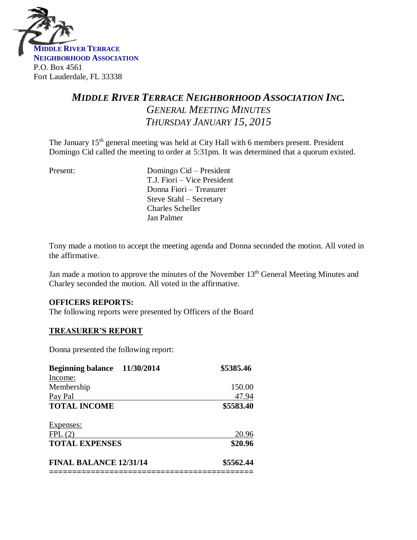

# *MIDDLE RIVER TERRACE NEIGHBORHOOD ASSOCIATION INC. GENERAL MEETING MINUTES THURSDAY JANUARY 15, 2015*

The January 15<sup>th</sup> general meeting was held at City Hall with 6 members present. President Domingo Cid called the meeting to order at 5:31pm. It was determined that a quorum existed.

Present: Domingo Cid – President T.J. Fiori – Vice President Donna Fiori – Treasurer Steve Stahl – Secretary Charles Scheller Jan Palmer

Tony made a motion to accept the meeting agenda and Donna seconded the motion. All voted in the affirmative.

Jan made a motion to approve the minutes of the November 13<sup>th</sup> General Meeting Minutes and Charley seconded the motion. All voted in the affirmative.

#### **OFFICERS REPORTS:**

The following reports were presented by Officers of the Board

### **TREASURER'S REPORT**

Donna presented the following report:

| 11/30/2014<br><b>Beginning balance</b> | \$5385.46 |
|----------------------------------------|-----------|
| Income:                                |           |
| Membership                             | 150.00    |
| Pay Pal                                | 47.94     |
| <b>TOTAL INCOME</b>                    | \$5583.40 |
| <b>Expenses:</b>                       |           |
| FPL(2)                                 | 20.96     |
| <b>TOTAL EXPENSES</b>                  | \$20.96   |
| <b>FINAL BALANCE 12/31/14</b>          | \$5562.44 |
|                                        |           |